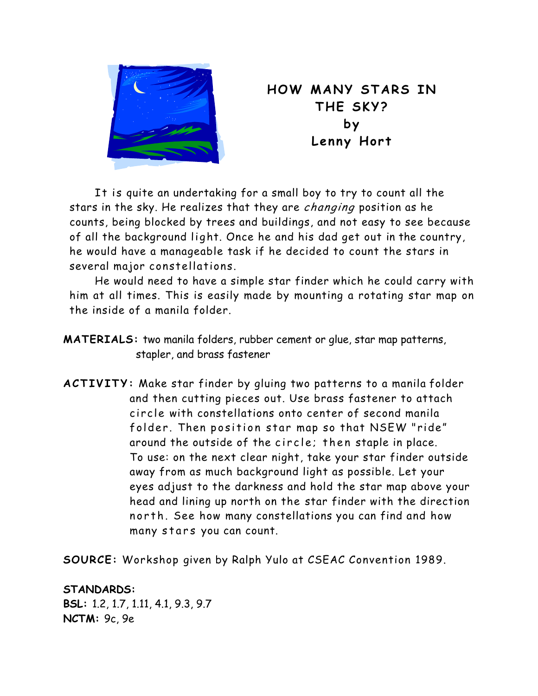

**HOW MANY STARS IN THE SKY? by Lenny Hort** 

 It is quite an undertaking for a small boy to try to count all the stars in the sky. He realizes that they are changing position as he counts, being blocked by trees and buildings, and not easy to see because of all the background light. Once he and his dad get out in the country, he would have a manageable task if he decided to count the stars in several major constellations.

He would need to have a simple star finder which he could carry with him at all times. This is easily made by mounting a rotating star map on the inside of a manila folder.

- **MATERIALS:** two manila folders, rubber cement or glue, star map patterns, stapler, and brass fastener
- **ACTIVITY:** Make star finder by gluing two patterns to a manila folder and then cutting pieces out. Use brass fastener to attach circle with constellations onto center of second manila folder. Then position star map so that NSEW "ride" around the outside of the circle; then staple in place. To use: on the next clear night, take your star finder outside away from as much background light as possible. Let your eyes adjust to the darkness and hold the star map above your head and lining up north on the star finder with the direction north. See how many constellations you can find and how many stars you can count.

**SOURCE:** Workshop given by Ralph Yulo at CSEAC Convention 1989.

**STANDARDS: BSL:** 1.2, 1.7, 1.11, 4.1, 9.3, 9.7 **NCTM:** 9c, 9e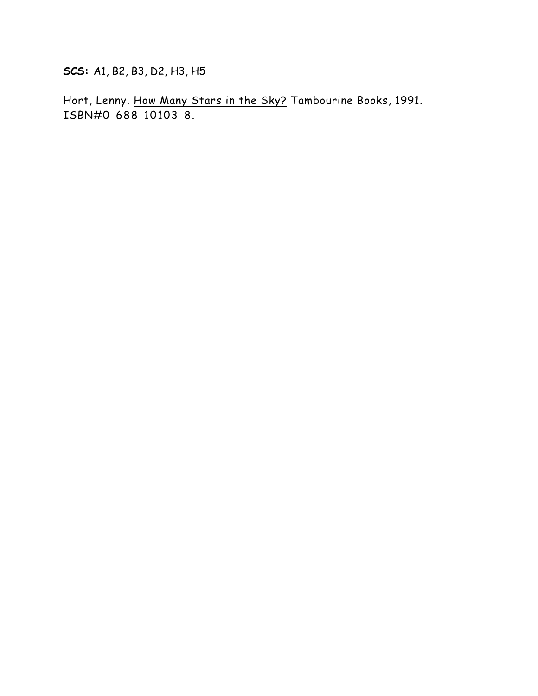**SCS:** A1, B2, B3, D2, H3, H5

Hort, Lenny. How Many Stars in the Sky? Tambourine Books, 1991. ISBN#0-688-10103-8.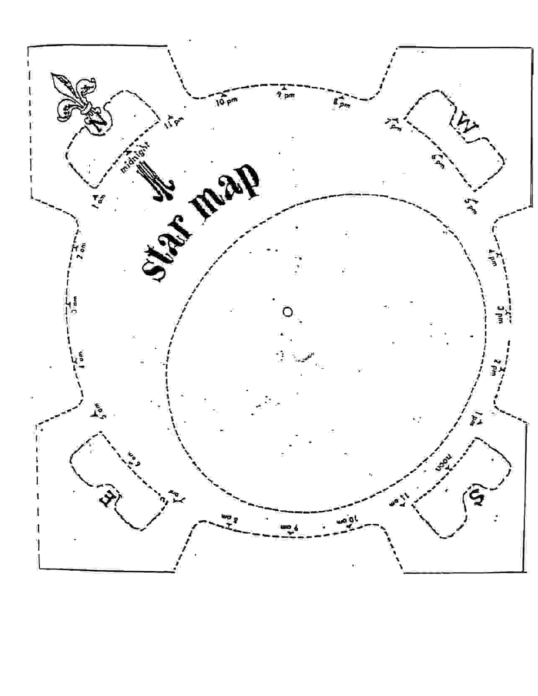